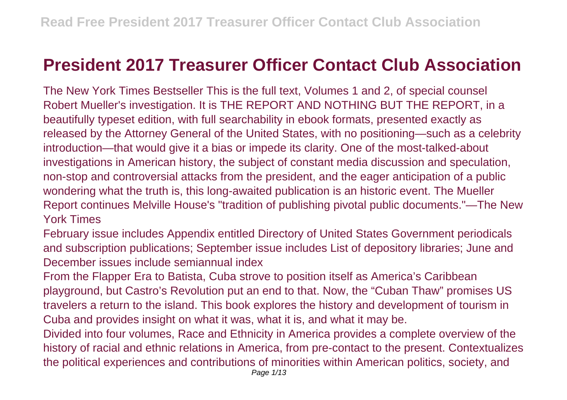## **President 2017 Treasurer Officer Contact Club Association**

The New York Times Bestseller This is the full text, Volumes 1 and 2, of special counsel Robert Mueller's investigation. It is THE REPORT AND NOTHING BUT THE REPORT, in a beautifully typeset edition, with full searchability in ebook formats, presented exactly as released by the Attorney General of the United States, with no positioning—such as a celebrity introduction—that would give it a bias or impede its clarity. One of the most-talked-about investigations in American history, the subject of constant media discussion and speculation, non-stop and controversial attacks from the president, and the eager anticipation of a public wondering what the truth is, this long-awaited publication is an historic event. The Mueller Report continues Melville House's "tradition of publishing pivotal public documents."—The New York Times

February issue includes Appendix entitled Directory of United States Government periodicals and subscription publications; September issue includes List of depository libraries; June and December issues include semiannual index

From the Flapper Era to Batista, Cuba strove to position itself as America's Caribbean playground, but Castro's Revolution put an end to that. Now, the "Cuban Thaw" promises US travelers a return to the island. This book explores the history and development of tourism in Cuba and provides insight on what it was, what it is, and what it may be.

Divided into four volumes, Race and Ethnicity in America provides a complete overview of the history of racial and ethnic relations in America, from pre-contact to the present. Contextualizes the political experiences and contributions of minorities within American politics, society, and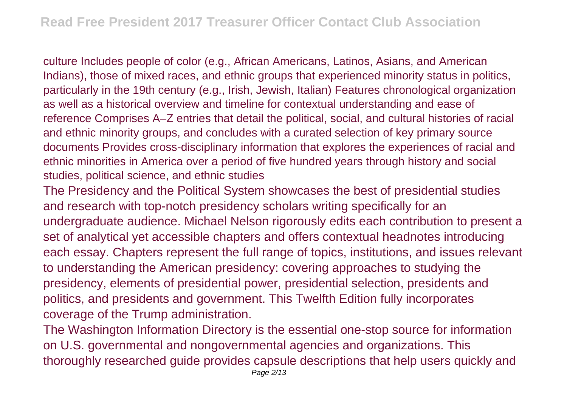culture Includes people of color (e.g., African Americans, Latinos, Asians, and American Indians), those of mixed races, and ethnic groups that experienced minority status in politics, particularly in the 19th century (e.g., Irish, Jewish, Italian) Features chronological organization as well as a historical overview and timeline for contextual understanding and ease of reference Comprises A–Z entries that detail the political, social, and cultural histories of racial and ethnic minority groups, and concludes with a curated selection of key primary source documents Provides cross-disciplinary information that explores the experiences of racial and ethnic minorities in America over a period of five hundred years through history and social studies, political science, and ethnic studies

The Presidency and the Political System showcases the best of presidential studies and research with top-notch presidency scholars writing specifically for an undergraduate audience. Michael Nelson rigorously edits each contribution to present a set of analytical yet accessible chapters and offers contextual headnotes introducing each essay. Chapters represent the full range of topics, institutions, and issues relevant to understanding the American presidency: covering approaches to studying the presidency, elements of presidential power, presidential selection, presidents and politics, and presidents and government. This Twelfth Edition fully incorporates coverage of the Trump administration.

The Washington Information Directory is the essential one-stop source for information on U.S. governmental and nongovernmental agencies and organizations. This thoroughly researched guide provides capsule descriptions that help users quickly and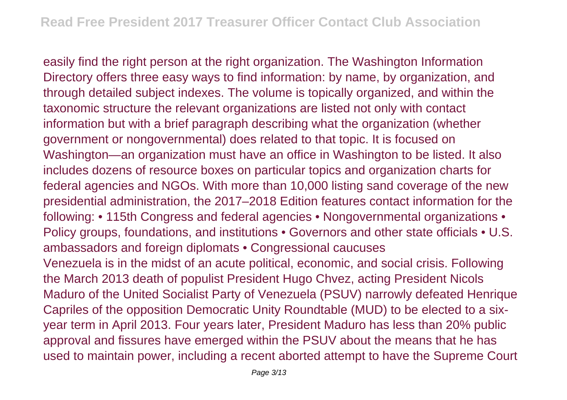easily find the right person at the right organization. The Washington Information Directory offers three easy ways to find information: by name, by organization, and through detailed subject indexes. The volume is topically organized, and within the taxonomic structure the relevant organizations are listed not only with contact information but with a brief paragraph describing what the organization (whether government or nongovernmental) does related to that topic. It is focused on Washington—an organization must have an office in Washington to be listed. It also includes dozens of resource boxes on particular topics and organization charts for federal agencies and NGOs. With more than 10,000 listing sand coverage of the new presidential administration, the 2017–2018 Edition features contact information for the following: • 115th Congress and federal agencies • Nongovernmental organizations • Policy groups, foundations, and institutions • Governors and other state officials • U.S. ambassadors and foreign diplomats • Congressional caucuses Venezuela is in the midst of an acute political, economic, and social crisis. Following the March 2013 death of populist President Hugo Chvez, acting President Nicols Maduro of the United Socialist Party of Venezuela (PSUV) narrowly defeated Henrique Capriles of the opposition Democratic Unity Roundtable (MUD) to be elected to a sixyear term in April 2013. Four years later, President Maduro has less than 20% public approval and fissures have emerged within the PSUV about the means that he has used to maintain power, including a recent aborted attempt to have the Supreme Court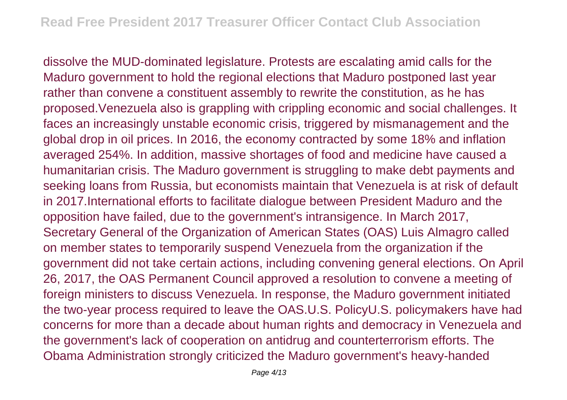dissolve the MUD-dominated legislature. Protests are escalating amid calls for the Maduro government to hold the regional elections that Maduro postponed last year rather than convene a constituent assembly to rewrite the constitution, as he has proposed.Venezuela also is grappling with crippling economic and social challenges. It faces an increasingly unstable economic crisis, triggered by mismanagement and the global drop in oil prices. In 2016, the economy contracted by some 18% and inflation averaged 254%. In addition, massive shortages of food and medicine have caused a humanitarian crisis. The Maduro government is struggling to make debt payments and seeking loans from Russia, but economists maintain that Venezuela is at risk of default in 2017.International efforts to facilitate dialogue between President Maduro and the opposition have failed, due to the government's intransigence. In March 2017, Secretary General of the Organization of American States (OAS) Luis Almagro called on member states to temporarily suspend Venezuela from the organization if the government did not take certain actions, including convening general elections. On April 26, 2017, the OAS Permanent Council approved a resolution to convene a meeting of foreign ministers to discuss Venezuela. In response, the Maduro government initiated the two-year process required to leave the OAS.U.S. PolicyU.S. policymakers have had concerns for more than a decade about human rights and democracy in Venezuela and the government's lack of cooperation on antidrug and counterterrorism efforts. The Obama Administration strongly criticized the Maduro government's heavy-handed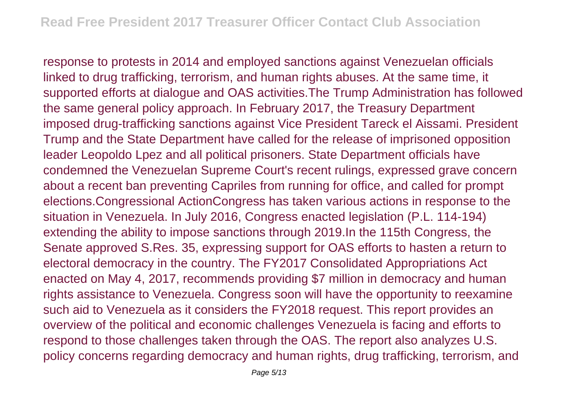response to protests in 2014 and employed sanctions against Venezuelan officials linked to drug trafficking, terrorism, and human rights abuses. At the same time, it supported efforts at dialogue and OAS activities.The Trump Administration has followed the same general policy approach. In February 2017, the Treasury Department imposed drug-trafficking sanctions against Vice President Tareck el Aissami. President Trump and the State Department have called for the release of imprisoned opposition leader Leopoldo Lpez and all political prisoners. State Department officials have condemned the Venezuelan Supreme Court's recent rulings, expressed grave concern about a recent ban preventing Capriles from running for office, and called for prompt elections.Congressional ActionCongress has taken various actions in response to the situation in Venezuela. In July 2016, Congress enacted legislation (P.L. 114-194) extending the ability to impose sanctions through 2019.In the 115th Congress, the Senate approved S.Res. 35, expressing support for OAS efforts to hasten a return to electoral democracy in the country. The FY2017 Consolidated Appropriations Act enacted on May 4, 2017, recommends providing \$7 million in democracy and human rights assistance to Venezuela. Congress soon will have the opportunity to reexamine such aid to Venezuela as it considers the FY2018 request. This report provides an overview of the political and economic challenges Venezuela is facing and efforts to respond to those challenges taken through the OAS. The report also analyzes U.S. policy concerns regarding democracy and human rights, drug trafficking, terrorism, and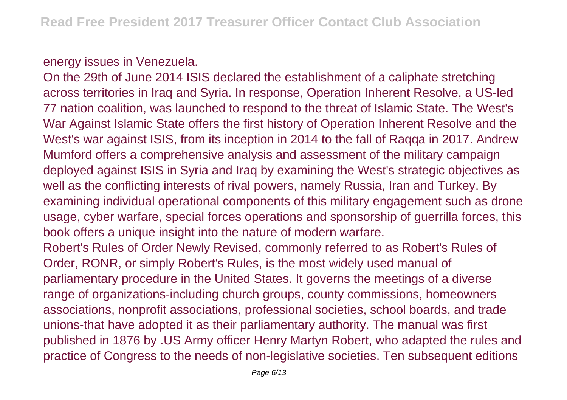## energy issues in Venezuela.

On the 29th of June 2014 ISIS declared the establishment of a caliphate stretching across territories in Iraq and Syria. In response, Operation Inherent Resolve, a US-led 77 nation coalition, was launched to respond to the threat of Islamic State. The West's War Against Islamic State offers the first history of Operation Inherent Resolve and the West's war against ISIS, from its inception in 2014 to the fall of Raqqa in 2017. Andrew Mumford offers a comprehensive analysis and assessment of the military campaign deployed against ISIS in Syria and Iraq by examining the West's strategic objectives as well as the conflicting interests of rival powers, namely Russia, Iran and Turkey. By examining individual operational components of this military engagement such as drone usage, cyber warfare, special forces operations and sponsorship of guerrilla forces, this book offers a unique insight into the nature of modern warfare. Robert's Rules of Order Newly Revised, commonly referred to as Robert's Rules of Order, RONR, or simply Robert's Rules, is the most widely used manual of parliamentary procedure in the United States. It governs the meetings of a diverse range of organizations-including church groups, county commissions, homeowners associations, nonprofit associations, professional societies, school boards, and trade unions-that have adopted it as their parliamentary authority. The manual was first published in 1876 by .US Army officer Henry Martyn Robert, who adapted the rules and

practice of Congress to the needs of non-legislative societies. Ten subsequent editions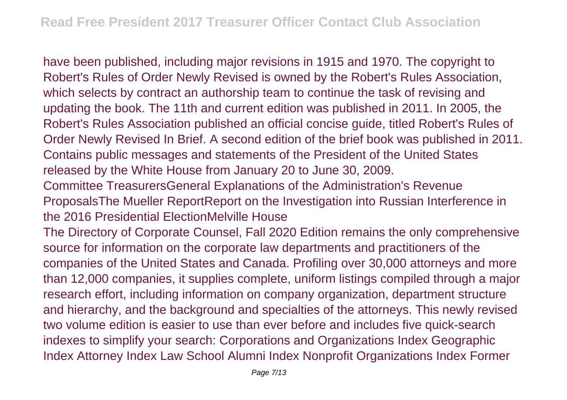have been published, including major revisions in 1915 and 1970. The copyright to Robert's Rules of Order Newly Revised is owned by the Robert's Rules Association, which selects by contract an authorship team to continue the task of revising and updating the book. The 11th and current edition was published in 2011. In 2005, the Robert's Rules Association published an official concise guide, titled Robert's Rules of Order Newly Revised In Brief. A second edition of the brief book was published in 2011. Contains public messages and statements of the President of the United States released by the White House from January 20 to June 30, 2009.

Committee TreasurersGeneral Explanations of the Administration's Revenue ProposalsThe Mueller ReportReport on the Investigation into Russian Interference in the 2016 Presidential ElectionMelville House

The Directory of Corporate Counsel, Fall 2020 Edition remains the only comprehensive source for information on the corporate law departments and practitioners of the companies of the United States and Canada. Profiling over 30,000 attorneys and more than 12,000 companies, it supplies complete, uniform listings compiled through a major research effort, including information on company organization, department structure and hierarchy, and the background and specialties of the attorneys. This newly revised two volume edition is easier to use than ever before and includes five quick-search indexes to simplify your search: Corporations and Organizations Index Geographic Index Attorney Index Law School Alumni Index Nonprofit Organizations Index Former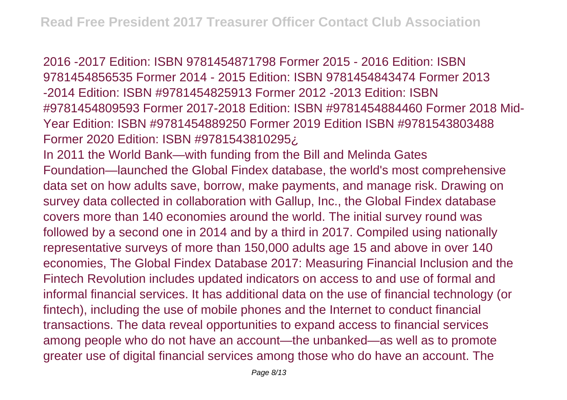2016 -2017 Edition: ISBN 9781454871798 Former 2015 - 2016 Edition: ISBN 9781454856535 Former 2014 - 2015 Edition: ISBN 9781454843474 Former 2013 -2014 Edition: ISBN #9781454825913 Former 2012 -2013 Edition: ISBN #9781454809593 Former 2017-2018 Edition: ISBN #9781454884460 Former 2018 Mid-Year Edition: ISBN #9781454889250 Former 2019 Edition ISBN #9781543803488 Former 2020 Edition: ISBN #9781543810295¿

In 2011 the World Bank—with funding from the Bill and Melinda Gates Foundation—launched the Global Findex database, the world's most comprehensive data set on how adults save, borrow, make payments, and manage risk. Drawing on survey data collected in collaboration with Gallup, Inc., the Global Findex database covers more than 140 economies around the world. The initial survey round was followed by a second one in 2014 and by a third in 2017. Compiled using nationally representative surveys of more than 150,000 adults age 15 and above in over 140 economies, The Global Findex Database 2017: Measuring Financial Inclusion and the Fintech Revolution includes updated indicators on access to and use of formal and informal financial services. It has additional data on the use of financial technology (or fintech), including the use of mobile phones and the Internet to conduct financial transactions. The data reveal opportunities to expand access to financial services among people who do not have an account—the unbanked—as well as to promote greater use of digital financial services among those who do have an account. The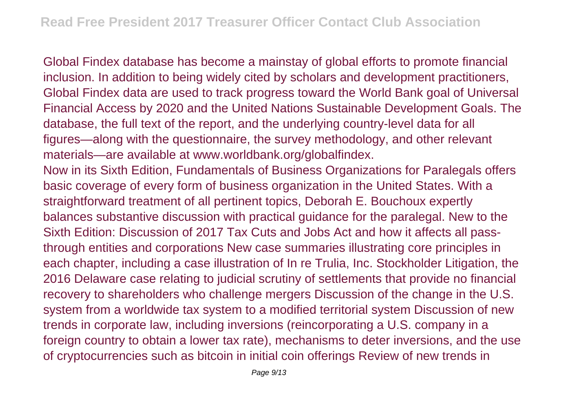Global Findex database has become a mainstay of global efforts to promote financial inclusion. In addition to being widely cited by scholars and development practitioners, Global Findex data are used to track progress toward the World Bank goal of Universal Financial Access by 2020 and the United Nations Sustainable Development Goals. The database, the full text of the report, and the underlying country-level data for all figures—along with the questionnaire, the survey methodology, and other relevant materials—are available at www.worldbank.org/globalfindex. Now in its Sixth Edition, Fundamentals of Business Organizations for Paralegals offers basic coverage of every form of business organization in the United States. With a straightforward treatment of all pertinent topics, Deborah E. Bouchoux expertly balances substantive discussion with practical guidance for the paralegal. New to the Sixth Edition: Discussion of 2017 Tax Cuts and Jobs Act and how it affects all passthrough entities and corporations New case summaries illustrating core principles in each chapter, including a case illustration of In re Trulia, Inc. Stockholder Litigation, the 2016 Delaware case relating to judicial scrutiny of settlements that provide no financial recovery to shareholders who challenge mergers Discussion of the change in the U.S. system from a worldwide tax system to a modified territorial system Discussion of new trends in corporate law, including inversions (reincorporating a U.S. company in a foreign country to obtain a lower tax rate), mechanisms to deter inversions, and the use of cryptocurrencies such as bitcoin in initial coin offerings Review of new trends in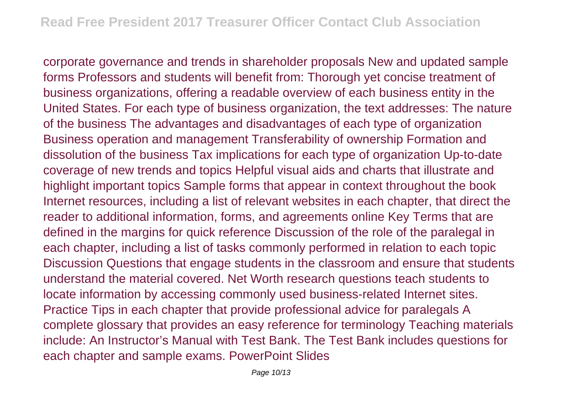corporate governance and trends in shareholder proposals New and updated sample forms Professors and students will benefit from: Thorough yet concise treatment of business organizations, offering a readable overview of each business entity in the United States. For each type of business organization, the text addresses: The nature of the business The advantages and disadvantages of each type of organization Business operation and management Transferability of ownership Formation and dissolution of the business Tax implications for each type of organization Up-to-date coverage of new trends and topics Helpful visual aids and charts that illustrate and highlight important topics Sample forms that appear in context throughout the book Internet resources, including a list of relevant websites in each chapter, that direct the reader to additional information, forms, and agreements online Key Terms that are defined in the margins for quick reference Discussion of the role of the paralegal in each chapter, including a list of tasks commonly performed in relation to each topic Discussion Questions that engage students in the classroom and ensure that students understand the material covered. Net Worth research questions teach students to locate information by accessing commonly used business-related Internet sites. Practice Tips in each chapter that provide professional advice for paralegals A complete glossary that provides an easy reference for terminology Teaching materials include: An Instructor's Manual with Test Bank. The Test Bank includes questions for each chapter and sample exams. PowerPoint Slides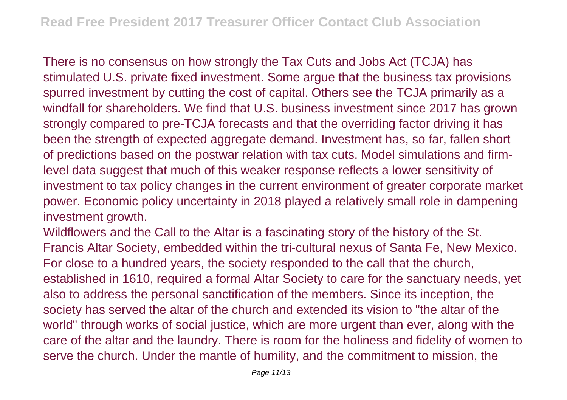There is no consensus on how strongly the Tax Cuts and Jobs Act (TCJA) has stimulated U.S. private fixed investment. Some argue that the business tax provisions spurred investment by cutting the cost of capital. Others see the TCJA primarily as a windfall for shareholders. We find that U.S. business investment since 2017 has grown strongly compared to pre-TCJA forecasts and that the overriding factor driving it has been the strength of expected aggregate demand. Investment has, so far, fallen short of predictions based on the postwar relation with tax cuts. Model simulations and firmlevel data suggest that much of this weaker response reflects a lower sensitivity of investment to tax policy changes in the current environment of greater corporate market power. Economic policy uncertainty in 2018 played a relatively small role in dampening investment growth.

Wildflowers and the Call to the Altar is a fascinating story of the history of the St. Francis Altar Society, embedded within the tri-cultural nexus of Santa Fe, New Mexico. For close to a hundred years, the society responded to the call that the church, established in 1610, required a formal Altar Society to care for the sanctuary needs, yet also to address the personal sanctification of the members. Since its inception, the society has served the altar of the church and extended its vision to "the altar of the world" through works of social justice, which are more urgent than ever, along with the care of the altar and the laundry. There is room for the holiness and fidelity of women to serve the church. Under the mantle of humility, and the commitment to mission, the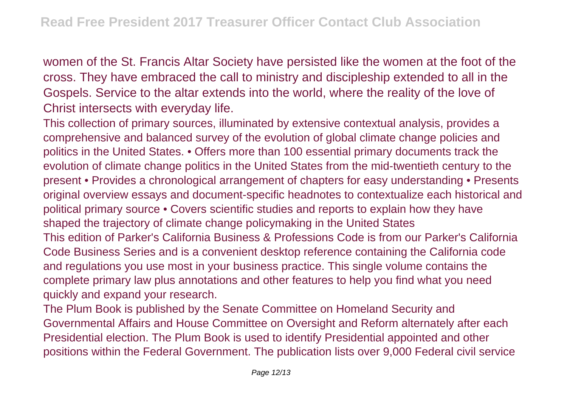women of the St. Francis Altar Society have persisted like the women at the foot of the cross. They have embraced the call to ministry and discipleship extended to all in the Gospels. Service to the altar extends into the world, where the reality of the love of Christ intersects with everyday life.

This collection of primary sources, illuminated by extensive contextual analysis, provides a comprehensive and balanced survey of the evolution of global climate change policies and politics in the United States. • Offers more than 100 essential primary documents track the evolution of climate change politics in the United States from the mid-twentieth century to the present • Provides a chronological arrangement of chapters for easy understanding • Presents original overview essays and document-specific headnotes to contextualize each historical and political primary source • Covers scientific studies and reports to explain how they have shaped the trajectory of climate change policymaking in the United States This edition of Parker's California Business & Professions Code is from our Parker's California Code Business Series and is a convenient desktop reference containing the California code and regulations you use most in your business practice. This single volume contains the complete primary law plus annotations and other features to help you find what you need quickly and expand your research.

The Plum Book is published by the Senate Committee on Homeland Security and Governmental Affairs and House Committee on Oversight and Reform alternately after each Presidential election. The Plum Book is used to identify Presidential appointed and other positions within the Federal Government. The publication lists over 9,000 Federal civil service